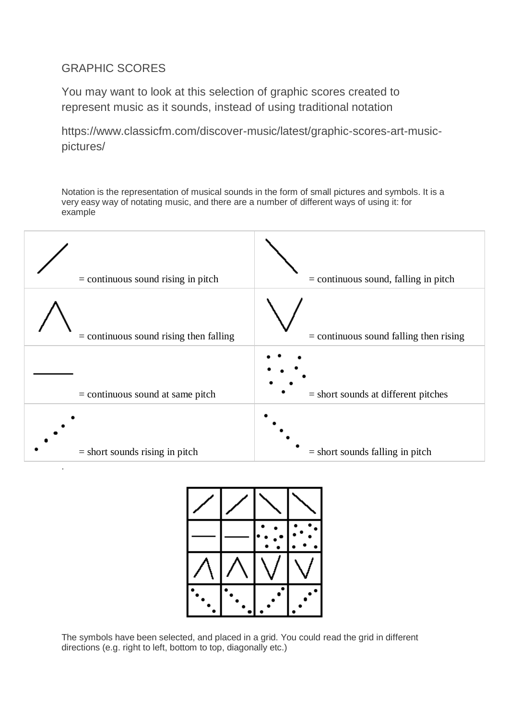## GRAPHIC SCORES

You may want to look at this selection of graphic scores created to represent music as it sounds, instead of using traditional notation

https://www.classicfm.com/discover-music/latest/graphic-scores-art-musicpictures/

Notation is the representation of musical sounds in the form of small pictures and symbols. It is a very easy way of notating music, and there are a number of different ways of using it: for example

| $=$ continuous sound rising in pitch     | $=$ continuous sound, falling in pitch   |
|------------------------------------------|------------------------------------------|
| $=$ continuous sound rising then falling | $=$ continuous sound falling then rising |
| $=$ continuous sound at same pitch       | $=$ short sounds at different pitches    |
| $=$ short sounds rising in pitch         | $=$ short sounds falling in pitch        |



The symbols have been selected, and placed in a grid. You could read the grid in different directions (e.g. right to left, bottom to top, diagonally etc.)